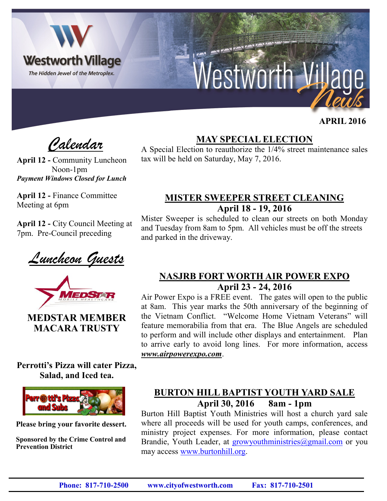

 **APRIL 2016**

*Calendar*

**April 12 -** Community Luncheon Noon-1pm *Payment Windows Closed for Lunch*

**April 12 -** Finance Committee Meeting at 6pm

**April 12 -** City Council Meeting at 7pm. Pre-Council preceding

*Luncheon Guests*



**MEDSTAR MEMBER MACARA TRUSTY**

**Perrotti's Pizza will cater Pizza, Salad, and Iced tea.**



**Please bring your favorite dessert.**

**Sponsored by the Crime Control and Prevention District**

### **MAY SPECIAL ELECTION**

A Special Election to reauthorize the 1/4% street maintenance sales tax will be held on Saturday, May 7, 2016.

#### **MISTER SWEEPER STREET CLEANING April 18 - 19, 2016**

Mister Sweeper is scheduled to clean our streets on both Monday and Tuesday from 8am to 5pm. All vehicles must be off the streets and parked in the driveway.

#### **NASJRB FORT WORTH AIR POWER EXPO April 23 - 24, 2016**

Air Power Expo is a FREE event. The gates will open to the public at 8am. This year marks the 50th anniversary of the beginning of the Vietnam Conflict. "Welcome Home Vietnam Veterans" will feature memorabilia from that era. The Blue Angels are scheduled to perform and will include other displays and entertainment. Plan to arrive early to avoid long lines. For more information, access *www.airpowerexpo.com*.

#### **BURTON HILL BAPTIST YOUTH YARD SALE April 30, 2016 8am - 1pm**

Burton Hill Baptist Youth Ministries will host a church yard sale where all proceeds will be used for youth camps, conferences, and ministry project expenses. For more information, please contact Brandie, Youth Leader, at growyouthministries@gmail.com or you may access [www.burtonhill.org.](http://www.burtonhillbaptist.org)